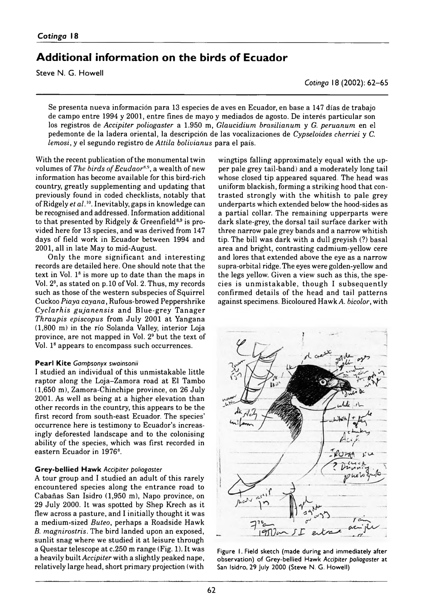# **Additional information on the birds of Ecuador**

**Steve N. G. Howell** 

*Cotinga* 18 (2002): 62–65

Se presenta nueva información para 13 especies de aves en Ecuador, en base a 147 días de trabajo de campo entre 1994 y 2001, entre fines de mayo y mediados de agosto. De interés particular son los registros de *Accipiter poliogaster* a 1950 m, *Glaucidium brasilianum* y *G. peruanum* en el pedemonte de la ladera oriental, la descripción de las vocalizaciones de *Cypseloides cherriei* y *C. lemosi*, y el segundo registro de *Attila bolivianus* para el pais.

With the recent publication of the monumental twin volumes of *The birds of Ecudaor<sup>8,9</sup>*, a wealth of new information has become available for this bird-rich country, greatly supplementing and updating that previously found in coded checklists, notably that of Ridgely *et al.*10. Inevitably, gaps in knowledge can be recognised and addressed. Information additional to that presented by Ridgely & Greenfield $89$  is provided here for 13 species, and was derived from 147 days of field work in Ecuador between 1994 and 2001, all in late May to mid-August.

Only the more significant and interesting records are detailed here. One should note that the text in Vol.  $1<sup>8</sup>$  is more up to date than the maps in Vol. 29, as stated on p. 10 of Vol. 2. Thus, my records such as those of the western subspecies of Squirrel Cuckoo *Piaya cayana*, Rufous-browed Peppershrike *Cyclarhis gujanensis* and Blue-grey Tanager *Thraupis episcopus* from July 2001 at Yangana (1800 m) in the río Solanda Valley, interior Loja province, are not mapped in Vol. 29 but the text of Vol. 18 appears to encompass such occurrences.

#### **Pearl K ite** *Gampsonyx swainsonii*

I studied an individual of this unmistakable little raptor along the Loja–Zamora road at El Tambo (1650 m), Zamora-Chinchipe province, on 26 July 2001. As well as being at a higher elevation than other records in the country, this appears to be the first record from south-east Ecuador. The species' occurrence here is testimony to Ecuador's increasingly deforested landscape and to the colonising ability of the species, which was first recorded in eastern Ecuador in 1976<sup>8</sup>.

### **G rey-bellied H aw k** *Accipiter poliogaster*

A tour group and I studied an adult of this rarely encountered species along the entrance road to Cabañas San Isidro (1,950 m), Napo province, on 29 July 2000. It was spotted by Shep Krech as it flew across a pasture, and I initially thought it was a medium-sized *Buteo*, perhaps a Roadside Hawk *B. magnirostris.* The bird landed upon an exposed, sunlit snag where we studied it at leisure through a Questar telescope at c.250 m range (Fig. 1). It was a heavily built *Accipiter* with a slightly peaked nape, relatively large head, short primary projection (with wingtips falling approximately equal with the upper pale grey tail-band) and a moderately long tail whose closed tip appeared squared. The head was uniform blackish, forming a striking hood that contrasted strongly with the whitish to pale grey underparts which extended below the hood-sides as a partial collar. The remaining upperparts were dark slate-grey, the dorsal tail surface darker with three narrow pale grey bands and a narrow whitish tip. The bill was dark with a dull greyish( ?) basal area and bright, contrasting cadmium-yellow cere and lores that extended above the eye as a narrow supra-orbital ridge. The eyes were golden-yellow and the legs yellow. Given a view such as this, the species is unmistakable, though I subsequently confirmed details of the head and tail patterns against specimens. Bicoloured Hawk *A. bicolor*, with



Figure 1. Field sketch (made during and immediately after observation) of Grey-bellied Hawk *Accipiter poliogaster* at San Isidro, 29 July 2000 (Steve N. G. Howell)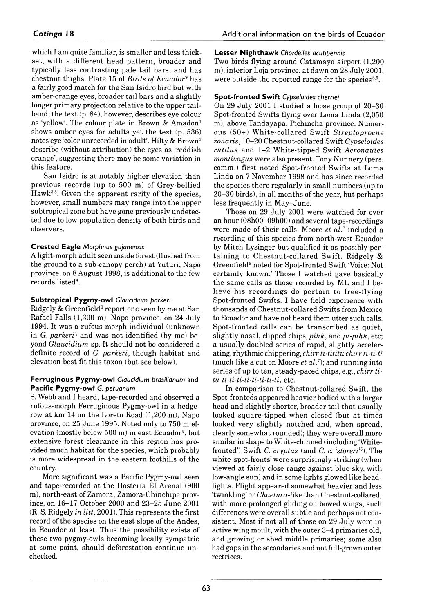which I am quite familiar, is smaller and less thickset, with a different head pattern, broader and typically less contrasting pale tail bars, and has chestnut thighs. Plate 15 of *Birds of Ecuador*9 has a fairly good match for the San Isidro bird but with amber–orange eyes, broader tail bars and a slightly longer primary projection relative to the upper tailband; the text (p. 84), however, describes eye colour as 'yellow'. The colour plate in Brown & Amadon<sup>1</sup> shows amber eyes for adults yet the text (p. 536) notes eye 'color unrecorded in adult'. Hilty *&* Brown3 describe (without attribution) the eyes as 'reddish orange', suggesting there may be some variation in this feature.

San Isidro is at notably higher elevation than previous records (up to 500 m) of Grey-bellied Hawk<sup>3,8</sup>. Given the apparent rarity of the species, however, small numbers may range into the upper subtropical zone but have gone previously undetected due to low population density of both birds and observers.

# **C rested Eagle** *Morphnus gujanensis*

A light-morph adult seen inside forest (flushed from the ground to a sub-canopy perch) at Yuturi, Napo province, on 8 August 1998, is additional to the few records listed<sup>8</sup>.

# Subtropical Pygmy-owl Glaucidium parkeri

Ridgely & Greenfield<sup>8</sup> report one seen by me at San Rafael Falls (1,300 m), Napo province, on 24 July 1994. It was a rufous-morph individual (unknown in *G. parkeri*) and was not identified (by me) beyond *Glaucidium* sp. It should not be considered a definite record of *G. parkeri,* though habitat and elevation best fit this taxon (but see below).

#### Ferruginous Pygmy-owl Glaucidium brasilianum and **Pacific Pygmy-owl** G. *peruanum*

S. Webb and I heard, tape-recorded and observed a rufous-morph Ferruginous Pygmy-owl in a hedgerow at  $km 14$  on the Loreto Road  $(1,200 \text{ m})$ , Napo province, on 25 June 1995. Noted only to 750 m elevation (mostly below 500 m) in east Ecuador8, but extensive forest clearance in this region has provided much habitat for the species, which probably is more widespread in the eastern foothills of the country.

More significant was a Pacific Pygmy-owl seen and tape-recorded at the Hostería El Arenal (900 m), north-east of Zamora, Zamora–Chinchipe province, on 16– 17 October 2000 and 23–25 June 2001 (R. S. Ridgely *in litt.* 2001). This represents the first record of the species on the east slope of the Andes, in Ecuador at least. Thus the possibility exists of these two pygmy-owls becoming locally sympatric at some point, should deforestation continue unchecked.

### **Lesser Nighthawk** *Chordeiles acutipennis*

Two birds flying around Catamayo airport (1200 m), interior Loja province, at dawn on 28 July 2001, were outside the reported range for the species  $8.9$ .

## **S p ot-fron ted S w ift** *Cypseloides cherriei*

On 29 July 2001 I studied a loose group of 20–30 Spot-fronted Swifts flying over Loma Linda (2050 m), above Tandayapa, Pichincha province. Numerous ( 50+) W hite-collared Swift *Streptoprocne zonaris*, 10–20 Chestnut-collared Swift *Cypseloides rutilus* and 1–2 W hite-tipped Swift *Aeronautes montivagus* were also present. Tony Nunnery (pers. comm.) first noted Spot-fronted Swifts at Loma Linda on 7 November 1998 and has since recorded the species there regularly in small numbers (up to 20–30 birds), in all months of the year, but perhaps less frequently in May–June.

Those on 29 July 2001 were watched for over an hour (08h00–09h00) and several tape-recordings were made of their calls. Moore *et al.*7 included a recording of this species from north-west Ecuador by Mitch Lysinger but qualified it as possibly pertaining to Chestnut-collared Swift. Ridgely  $\&$ Greenfield9 noted for Spot-fronted Swift 'Voice: Not certainly known.' Those I watched gave basically the same calls as those recorded by ML and I believe his recordings do pertain to free-flying Spot-fronted Swifts. I have field experience with thousands of Chestnut-collared Swifts from Mexico to Ecuador and have not heard them utter such calls. Spot-fronted calls can be transcribed as quiet, slightly nasal, clipped chips,  $pih$ k, and  $pi\text{-}pih$ k, etc; a usually doubled series of rapid, slightly accelerating, rhythmic chippering, *chirr ti-tititu chirr ti-ti-tí* (much like a cut on Moore *et al.*7); and running into series of up to ten, steady-paced chips, e.g. *chirr titu ti-ti-ti-ti-ti-ti-ti-ti*, etc.

In comparison to Chestnut-collared Swift, the Spot-fronteds appeared heavier bodied with a larger head and slightly shorter, broader tail that usually looked square-tipped when closed (but at times looked very slightly notched and, when spread, clearly somewhat rounded); they were overall more similar in shape to White-chinned (including 'Whitefronted') Swift *C. cryptus* (and *C. c.* '*storeri*'5). The white 'spot-fronts' were surprisingly striking (when viewed at fairly close range against blue sky, with low-angle sun) and in some lights glowed like headlights. Flight appeared somewhat heavier and less 'twinkling' or *Chaetura-*like than Chestnut-collared, with more prolonged gliding on bowed wings; such differences were overall subtle and perhaps not consistent. Most if not all of those on 29 July were in active wing moult, with the outer 3–4 primaries old, and growing or shed middle primaries; some also had gaps in the secondaries and not full-grown outer rectrices.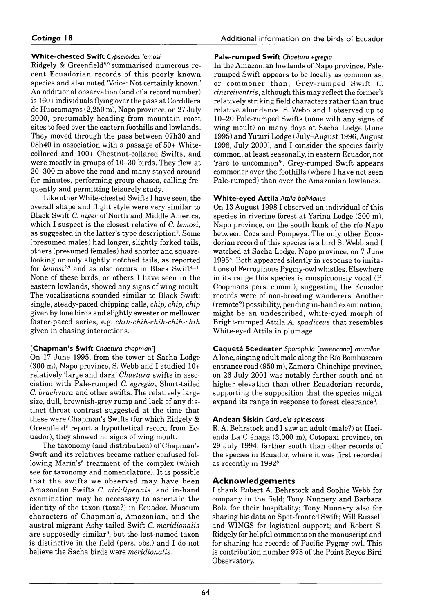#### **W h ite-c h e sted S w ift** *Cypseloides lemosi*

Ridgely & Greenfield<sup>8,9</sup> summarised numerous recent Ecuadorian records of this poorly known species and also noted 'Voice: Not certainly known.' An additional observation (and of a record number) is 160+ individuals flying over the pass at Cordillera de Huacamayos  $(2,250 \text{ m})$ , Napo province, on 27 July 2000, presumably heading from mountain roost sites to feed over the eastern foothills and lowlands. They moved through the pass between 07h30 and 08h40 in association with a passage of 50+ Whitecollared and 100+ Chestnut-collared Swifts, and were mostly in groups of 10–30 birds. They flew at 20–300 m above the road and many stayed around for minutes, performing group chases, calling frequently and permitting leisurely study.

Like other White-chested Swifts I have seen, the overall shape and flight style were very similar to Black Swift *C. niger* of North and Middle America, which I suspect is the closest relative of *C. lemosi*, as suggested in the latter's type description<sup>2</sup>. Some (presumed males) had longer, slightly forked tails, others (presumed females) had shorter and squarelooking or only slightly notched tails, as reported for *lemosi*<sup>2,9</sup> and as also occurs in Black Swift<sup>4,11</sup>. None of these birds, or others I have seen in the eastern lowlands, showed any signs of wing moult. The vocalisations sounded similar to Black Swift: single, steady-paced chipping calls, *chip, chip, chip* given by lone birds and slightly sweeter or mellower faster-paced series, e.g. *chih-chih-chih-chih-chih* given in chasing interactions.

#### **[C h ap m an 's S w ift** *Chaetura chapmani*]

On 17 June 1995, from the tower at Sacha Lodge (300 m), Napo province, S. Webb and I studied 10+ relatively 'large and dark' *Chaetura* swifts in association with Pale-rumped *C. egregia,* Short-tailed *C. brachyura* and other swifts. The relatively large size, dull, brownish-grey rump and lack of any distinct throat contrast suggested at the time that these were Chapman's Swifts (for which Ridgely & Greenfield<sup>8</sup> report a hypothetical record from Ecuador); they showed no signs of wing moult.

The taxonomy (and distribution) of Chapman's Swift and its relatives became rather confused following Marín's<sup>6</sup> treatment of the complex (which see for taxonomy and nomenclature). It is possible that the swifts we observed may have been Amazonian Swifts *C. viridipennis*, and in-hand examination may be necessary to ascertain the identity of the taxon (taxa?) in Ecuador. Museum characters of Chapman's, Amazonian, and the austral migrant Ashy-tailed Swift *C. meridionalis* are supposedly similar<sup>6</sup>, but the last-named taxon is distinctive in the field (pers. obs.) and I do not believe the Sacha birds were *meridionalis.*

#### **P ale-rum ped S w ift** *Chaetura egregia*

In the Amazonian lowlands of Napo province, Palerumped Swift appears to be locally as common as, or commoner than, Grey-rumped Swift C. *cinereiventris*, although this may reflect the former's relatively striking field characters rather than true relative abundance. S. Webb and I observed up to 10-20 Pale-rumped Swifts (none with any signs of wing moult) on many days at Sacha Lodge (June 1995) and Yuturi Lodge (July–August 1996, August 1998, July 2000), and I consider the species fairly common, at least seasonally, in eastern Ecuador, not 'rare to uncommon'8. Grey-rumped Swift appears commoner over the foothills (where I have not seen Pale-rumped) than over the Amazonian lowlands.

#### **W h ite -e y e d A ttila** *Attila bolivianus*

On 13 August 1998 I observed an individual of this species in riverine forest at Yarina Lodge (300 m), Napo province, on the south bank of the río Napo between Coca and Pompeya. The only other Ecuadorian record of this species is a bird S. Webb and I watched at Sacha Lodge, Napo province, on 7 June 1995<sup>8</sup>. Both appeared silently in response to imitations of Ferruginous Pygmy-Owl whistles. Elsewhere in its range this species is conspicuously vocal (P. Coopmans pers. comm.), suggesting the Ecuador records were of non-breeding wanderers. Another (remote?) possibility, pending in-hand examination, might be an undescribed, white-eyed morph of Bright-rumped Attila *A. spadiceus* that resembles White-eyed Attila in plumage.

**C aq u eta S eed eater** *Sporophila* [*americana*] *murallae A* lone, singing adult male along the Río Bombuscaro entrance road (950 m), Zamora–Chinchipe province, on 26 July 2001 was notably farther south and at higher elevation than other Ecuadorian records, supporting the supposition that the species might expand its range in response to forest clearance<sup>8</sup>.

### **Andean Siskin** *Carduelis spinescens*

R. A. Behrstock and I saw an adult (male?) at Hacienda La Ciénaga (3,000 m), Cotopaxi province, on 29 July 1994, farther south than other records of the species in Ecuador, where it was first recorded as recently in 1992s.

### **Acknowledgements**

I thank Robert A. Behrstock and Sophie Webb for company in the field; Tony Nunnery and Barbara Bolz for their hospitality; Tony Nunnery also for sharing his data on Spot-fronted Swift; Will Russell and WINGS for logistical support; and Robert S. Ridgely for helpful comments on the manuscript and for sharing his records of Pacific Pygmy-owl. This is contribution number 978 of the Point Reyes Bird Observatory.